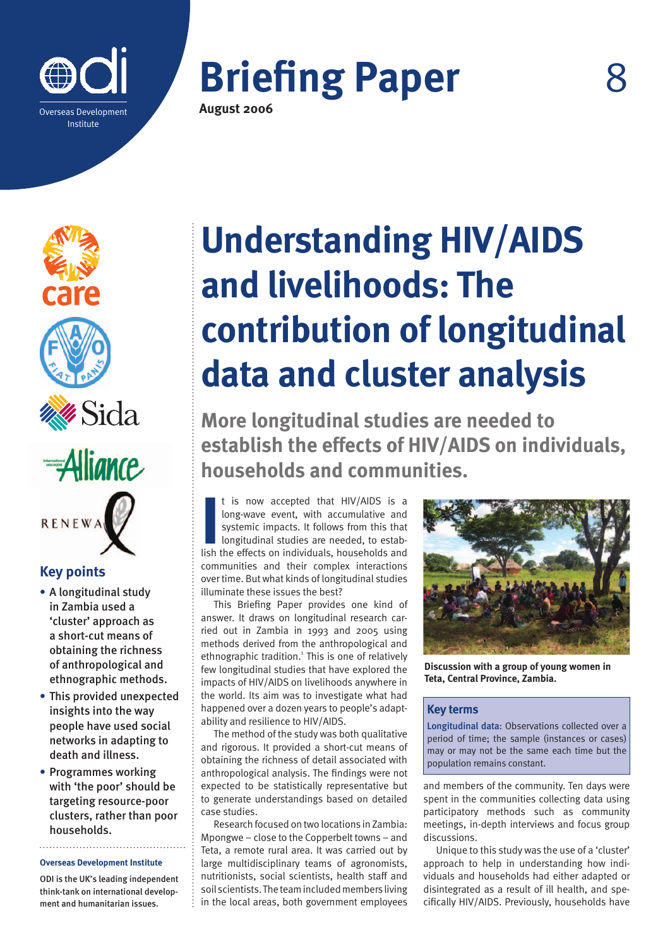







# **RENEWA**

### **Key points**

- **•** A longitudinal study in Zambia used a 'cluster' approach as a short-cut means of obtaining the richness of anthropological and ethnographic methods.
- **•** This provided unexpected insights into the way people have used social networks in adapting to death and illness.
- **•** Programmes working with 'the poor' should be targeting resource-poor clusters, rather than poor households.

**Overseas Development Institute**

ODI is the UK's leading independent think-tank on international development and humanitarian issues.

## **Understanding HIV/AIDS and livelihoods: The contribution of longitudinal data and cluster analysis**

**More longitudinal studies are needed to establish the effects of HIV/AIDS on individuals, households and communities.**

It is now accepted that HIV/AIDS is a long-wave event, with accumulative and systemic impacts. It follows from this that longitudinal studies are needed, to establish the effects on individuals, households and t is now accepted that HIV/AIDS is a long-wave event, with accumulative and systemic impacts. It follows from this that longitudinal studies are needed, to estabcommunities and their complex interactions over time. But what kinds of longitudinal studies illuminate these issues the best?

This Briefing Paper provides one kind of answer. It draws on longitudinal research carried out in Zambia in 1993 and 2005 using methods derived from the anthropological and ethnographic tradition.<sup>1</sup> This is one of relatively few longitudinal studies that have explored the impacts of HIV/AIDS on livelihoods anywhere in the world. Its aim was to investigate what had happened over a dozen years to people's adaptability and resilience to HIV/AIDS.

The method of the study was both qualitative and rigorous. It provided a short-cut means of obtaining the richness of detail associated with anthropological analysis. The findings were not expected to be statistically representative but to generate understandings based on detailed case studies.

Research focused on two locations in Zambia: Mpongwe – close to the Copperbelt towns – and Teta, a remote rural area. It was carried out by large multidisciplinary teams of agronomists, nutritionists, social scientists, health staff and soil scientists. The team included members living in the local areas, both government employees



**Discussion with a group of young women in Teta, Central Province, Zambia.**

#### **Key terms**

Longitudinal data: Observations collected over a period of time; the sample (instances or cases) may or may not be the same each time but the population remains constant.

and members of the community. Ten days were spent in the communities collecting data using participatory methods such as community meetings, in-depth interviews and focus group discussions.

Unique to this study was the use of a 'cluster' approach to help in understanding how individuals and households had either adapted or disintegrated as a result of ill health, and specifically HIV/AIDS. Previously, households have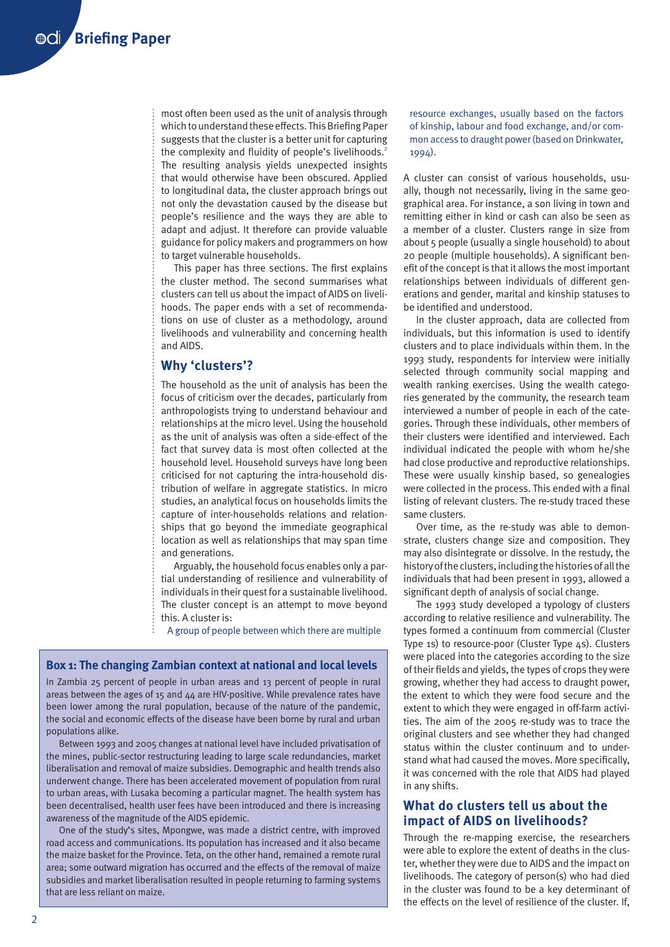most often been used as the unit of analysis through which to understand these effects. This Briefing Paper suggests that the cluster is a better unit for capturing the complexity and fluidity of people's livelihoods.<sup>2</sup> The resulting analysis yields unexpected insights that would otherwise have been obscured. Applied to longitudinal data, the cluster approach brings out not only the devastation caused by the disease but people's resilience and the ways they are able to adapt and adjust. It therefore can provide valuable guidance for policy makers and programmers on how to target vulnerable households.

This paper has three sections. The first explains the cluster method. The second summarises what clusters can tell us about the impact of AIDS on livelihoods. The paper ends with a set of recommendations on use of cluster as a methodology, around livelihoods and vulnerability and concerning health and AIDS.

#### **Why 'clusters'?**

The household as the unit of analysis has been the focus of criticism over the decades, particularly from anthropologists trying to understand behaviour and relationships at the micro level. Using the household as the unit of analysis was often a side-effect of the fact that survey data is most often collected at the household level. Household surveys have long been criticised for not capturing the intra-household distribution of welfare in aggregate statistics. In micro studies, an analytical focus on households limits the capture of inter-households relations and relationships that go beyond the immediate geographical location as well as relationships that may span time and generations.

Arguably, the household focus enables only a partial understanding of resilience and vulnerability of individuals in their quest for a sustainable livelihood. The cluster concept is an attempt to move beyond this. A cluster is:

A group of people between which there are multiple

#### **Box 1: The changing Zambian context at national and local levels**

In Zambia 25 percent of people in urban areas and 13 percent of people in rural areas between the ages of 15 and 44 are HIV-positive. While prevalence rates have been lower among the rural population, because of the nature of the pandemic, the social and economic effects of the disease have been borne by rural and urban populations alike.

Between 1993 and 2005 changes at national level have included privatisation of the mines, public-sector restructuring leading to large scale redundancies, market liberalisation and removal of maize subsidies. Demographic and health trends also underwent change. There has been accelerated movement of population from rural to urban areas, with Lusaka becoming a particular magnet. The health system has been decentralised, health user fees have been introduced and there is increasing awareness of the magnitude of the AIDS epidemic.

One of the study's sites, Mpongwe, was made a district centre, with improved road access and communications. Its population has increased and it also became the maize basket for the Province. Teta, on the other hand, remained a remote rural area; some outward migration has occurred and the effects of the removal of maize subsidies and market liberalisation resulted in people returning to farming systems that are less reliant on maize.

resource exchanges, usually based on the factors of kinship, labour and food exchange, and/or common access to draught power (based on Drinkwater, 1994).

A cluster can consist of various households, usually, though not necessarily, living in the same geographical area. For instance, a son living in town and remitting either in kind or cash can also be seen as a member of a cluster. Clusters range in size from about 5 people (usually a single household) to about 20 people (multiple households). A significant benefit of the concept is that it allows the most important relationships between individuals of different generations and gender, marital and kinship statuses to be identified and understood.

In the cluster approach, data are collected from individuals, but this information is used to identify clusters and to place individuals within them. In the 1993 study, respondents for interview were initially selected through community social mapping and wealth ranking exercises. Using the wealth categories generated by the community, the research team interviewed a number of people in each of the categories. Through these individuals, other members of their clusters were identified and interviewed. Each individual indicated the people with whom he/she had close productive and reproductive relationships. These were usually kinship based, so genealogies were collected in the process. This ended with a final listing of relevant clusters. The re-study traced these same clusters.

Over time, as the re-study was able to demonstrate, clusters change size and composition. They may also disintegrate or dissolve. In the restudy, the history of the clusters, including the histories of all the individuals that had been present in 1993, allowed a significant depth of analysis of social change.

The 1993 study developed a typology of clusters according to relative resilience and vulnerability. The types formed a continuum from commercial (Cluster Type 1s) to resource-poor (Cluster Type 4s). Clusters were placed into the categories according to the size of their fields and yields, the types of crops they were growing, whether they had access to draught power, the extent to which they were food secure and the extent to which they were engaged in off-farm activities. The aim of the 2005 re-study was to trace the original clusters and see whether they had changed status within the cluster continuum and to understand what had caused the moves. More specifically, it was concerned with the role that AIDS had played in any shifts.

### **What do clusters tell us about the impact of AIDS on livelihoods?**

Through the re-mapping exercise, the researchers were able to explore the extent of deaths in the cluster, whether they were due to AIDS and the impact on livelihoods. The category of person(s) who had died in the cluster was found to be a key determinant of the effects on the level of resilience of the cluster. If,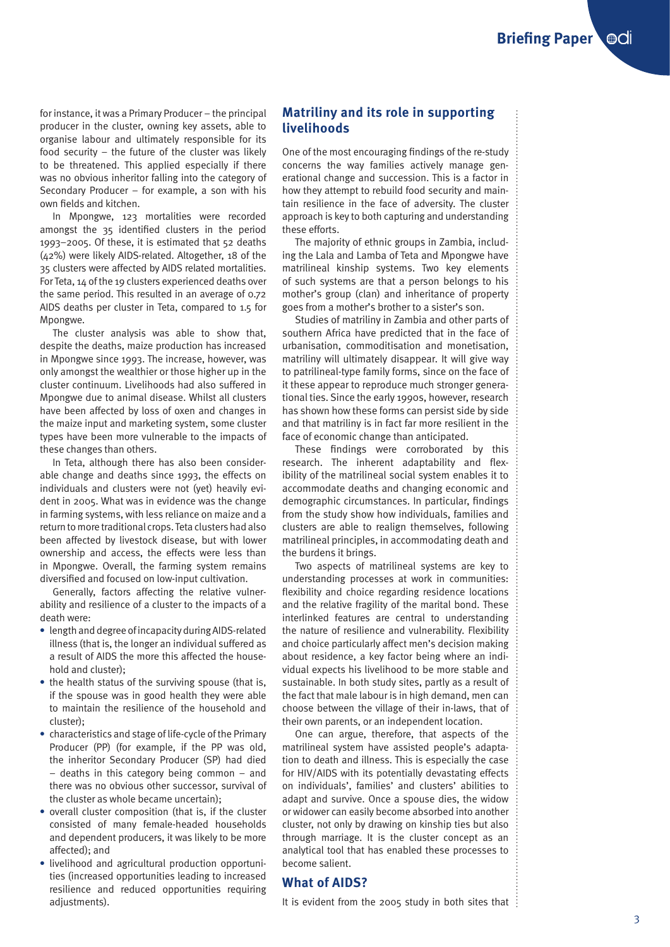for instance, it was a Primary Producer – the principal producer in the cluster, owning key assets, able to organise labour and ultimately responsible for its food security – the future of the cluster was likely to be threatened. This applied especially if there was no obvious inheritor falling into the category of Secondary Producer – for example, a son with his own fields and kitchen.

In Mpongwe, 123 mortalities were recorded amongst the 35 identified clusters in the period 1993–2005. Of these, it is estimated that 52 deaths (42%) were likely AIDS-related. Altogether, 18 of the 35 clusters were affected by AIDS related mortalities. For Teta, 14 of the 19 clusters experienced deaths over the same period. This resulted in an average of 0.72 AIDS deaths per cluster in Teta, compared to 1.5 for Mpongwe.

The cluster analysis was able to show that, despite the deaths, maize production has increased in Mpongwe since 1993. The increase, however, was only amongst the wealthier or those higher up in the cluster continuum. Livelihoods had also suffered in Mpongwe due to animal disease. Whilst all clusters have been affected by loss of oxen and changes in the maize input and marketing system, some cluster types have been more vulnerable to the impacts of these changes than others.

In Teta, although there has also been considerable change and deaths since 1993, the effects on individuals and clusters were not (yet) heavily evident in 2005. What was in evidence was the change in farming systems, with less reliance on maize and a return to more traditional crops. Teta clusters had also been affected by livestock disease, but with lower ownership and access, the effects were less than in Mpongwe. Overall, the farming system remains diversified and focused on low-input cultivation.

Generally, factors affecting the relative vulnerability and resilience of a cluster to the impacts of a death were:

- **•** length and degree of incapacity during AIDS-related illness (that is, the longer an individual suffered as a result of AIDS the more this affected the household and cluster);
- **•** the health status of the surviving spouse (that is, if the spouse was in good health they were able to maintain the resilience of the household and cluster);
- **•** characteristics and stage of life-cycle of the Primary Producer (PP) (for example, if the PP was old, the inheritor Secondary Producer (SP) had died – deaths in this category being common – and there was no obvious other successor, survival of the cluster as whole became uncertain);
- **•** overall cluster composition (that is, if the cluster consisted of many female-headed households and dependent producers, it was likely to be more affected); and
- **•** livelihood and agricultural production opportunities (increased opportunities leading to increased resilience and reduced opportunities requiring adjustments).

### **Matriliny and its role in supporting livelihoods**

One of the most encouraging findings of the re-study concerns the way families actively manage generational change and succession. This is a factor in how they attempt to rebuild food security and maintain resilience in the face of adversity. The cluster approach is key to both capturing and understanding these efforts.

The majority of ethnic groups in Zambia, including the Lala and Lamba of Teta and Mpongwe have matrilineal kinship systems. Two key elements of such systems are that a person belongs to his mother's group (clan) and inheritance of property goes from a mother's brother to a sister's son.

Studies of matriliny in Zambia and other parts of southern Africa have predicted that in the face of urbanisation, commoditisation and monetisation, matriliny will ultimately disappear. It will give way to patrilineal-type family forms, since on the face of it these appear to reproduce much stronger generational ties. Since the early 1990s, however, research has shown how these forms can persist side by side and that matriliny is in fact far more resilient in the face of economic change than anticipated.

These findings were corroborated by this research. The inherent adaptability and flexibility of the matrilineal social system enables it to accommodate deaths and changing economic and demographic circumstances. In particular, findings from the study show how individuals, families and clusters are able to realign themselves, following matrilineal principles, in accommodating death and the burdens it brings.

Two aspects of matrilineal systems are key to understanding processes at work in communities: flexibility and choice regarding residence locations and the relative fragility of the marital bond. These interlinked features are central to understanding the nature of resilience and vulnerability. Flexibility and choice particularly affect men's decision making about residence, a key factor being where an individual expects his livelihood to be more stable and sustainable. In both study sites, partly as a result of the fact that male labour is in high demand, men can choose between the village of their in-laws, that of their own parents, or an independent location.

One can argue, therefore, that aspects of the matrilineal system have assisted people's adaptation to death and illness. This is especially the case for HIV/AIDS with its potentially devastating effects on individuals', families' and clusters' abilities to adapt and survive. Once a spouse dies, the widow or widower can easily become absorbed into another cluster, not only by drawing on kinship ties but also through marriage. It is the cluster concept as an analytical tool that has enabled these processes to become salient.

#### **What of AIDS?**

It is evident from the 2005 study in both sites that  $\vdots$